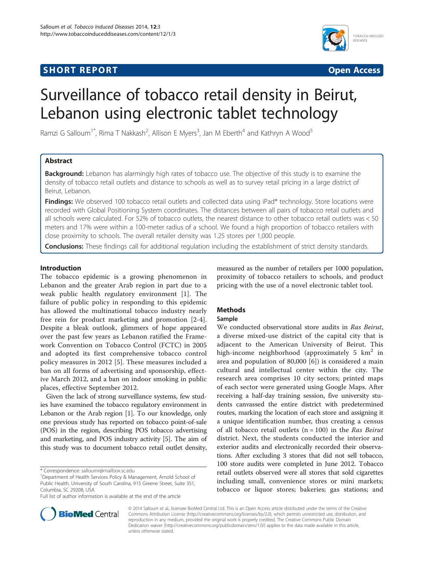## **SHORT REPORT SHORT CONSUMING THE SHORT CONSUMING THE SHORT CONSUMING THE SHORT CONSUMING THE SHORT CONSUMING THE SHORT CONSUMING THE SHORT CONSUMING THE SHORT CONSUMING THE SHORT CONSUMING THE SHORT CONSUMING THE SHORT**



# Surveillance of tobacco retail density in Beirut, Lebanon using electronic tablet technology

Ramzi G Salloum<sup>1\*</sup>, Rima T Nakkash<sup>2</sup>, Allison E Myers<sup>3</sup>, Jan M Eberth<sup>4</sup> and Kathryn A Wood<sup>5</sup>

## Abstract

Background: Lebanon has alarmingly high rates of tobacco use. The objective of this study is to examine the density of tobacco retail outlets and distance to schools as well as to survey retail pricing in a large district of Beirut, Lebanon.

Findings: We observed 100 tobacco retail outlets and collected data using iPad® technology. Store locations were recorded with Global Positioning System coordinates. The distances between all pairs of tobacco retail outlets and all schools were calculated. For 52% of tobacco outlets, the nearest distance to other tobacco retail outlets was < 50 meters and 17% were within a 100-meter radius of a school. We found a high proportion of tobacco retailers with close proximity to schools. The overall retailer density was 1.25 stores per 1,000 people.

Conclusions: These findings call for additional regulation including the establishment of strict density standards.

## Introduction

The tobacco epidemic is a growing phenomenon in Lebanon and the greater Arab region in part due to a weak public health regulatory environment [[1\]](#page-2-0). The failure of public policy in responding to this epidemic has allowed the multinational tobacco industry nearly free rein for product marketing and promotion [\[2-4](#page-2-0)]. Despite a bleak outlook, glimmers of hope appeared over the past few years as Lebanon ratified the Framework Convention on Tobacco Control (FCTC) in 2005 and adopted its first comprehensive tobacco control policy measures in 2012 [[5\]](#page-2-0). These measures included a ban on all forms of advertising and sponsorship, effective March 2012, and a ban on indoor smoking in public places, effective September 2012.

Given the lack of strong surveillance systems, few studies have examined the tobacco regulatory environment in Lebanon or the Arab region [[1\]](#page-2-0). To our knowledge, only one previous study has reported on tobacco point-of-sale (POS) in the region, describing POS tobacco advertising and marketing, and POS industry activity [[5\]](#page-2-0). The aim of this study was to document tobacco retail outlet density,

measured as the number of retailers per 1000 population, proximity of tobacco retailers to schools, and product pricing with the use of a novel electronic tablet tool.

## Methods

## Sample

We conducted observational store audits in Ras Beirut, a diverse mixed-use district of the capital city that is adjacent to the American University of Beirut. This high-income neighborhood (approximately 5 km<sup>2</sup> in area and population of 80,000 [\[6](#page-2-0)]) is considered a main cultural and intellectual center within the city. The research area comprises 10 city sectors; printed maps of each sector were generated using Google Maps. After receiving a half-day training session, five university students canvassed the entire district with predetermined routes, marking the location of each store and assigning it a unique identification number, thus creating a census of all tobacco retail outlets  $(n = 100)$  in the Ras Beirut district. Next, the students conducted the interior and exterior audits and electronically recorded their observations. After excluding 3 stores that did not sell tobacco, 100 store audits were completed in June 2012. Tobacco retail outlets observed were all stores that sold cigarettes including small, convenience stores or mini markets; tobacco or liquor stores; bakeries; gas stations; and



© 2014 Salloum et al.; licensee BioMed Central Ltd. This is an Open Access article distributed under the terms of the Creative Commons Attribution License [\(http://creativecommons.org/licenses/by/2.0\)](http://creativecommons.org/licenses/by/2.0), which permits unrestricted use, distribution, and reproduction in any medium, provided the original work is properly credited. The Creative Commons Public Domain Dedication waiver [\(http://creativecommons.org/publicdomain/zero/1.0/](http://creativecommons.org/publicdomain/zero/1.0/)) applies to the data made available in this article, unless otherwise stated.

<sup>\*</sup> Correspondence: [salloumr@mailbox.sc.edu](mailto:salloumr@mailbox.sc.edu) <sup>1</sup>

<sup>&</sup>lt;sup>1</sup>Department of Health Services Policy & Management, Arnold School of Public Health, University of South Carolina, 915 Greene Street, Suite 351, Columbia, SC 29208, USA

Full list of author information is available at the end of the article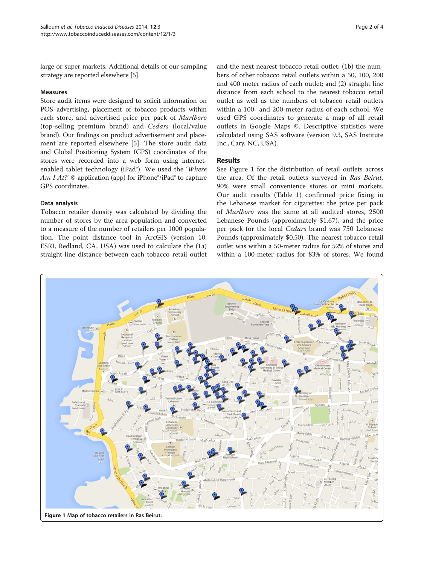large or super markets. Additional details of our sampling strategy are reported elsewhere [\[5](#page-2-0)].

## Measures

Store audit items were designed to solicit information on POS advertising, placement of tobacco products within each store, and advertised price per pack of Marlboro (top-selling premium brand) and Cedars (local/value brand). Our findings on product advertisement and placement are reported elsewhere [\[5](#page-2-0)]. The store audit data and Global Positioning System (GPS) coordinates of the stores were recorded into a web form using internetenabled tablet technology (iPad®). We used the 'Where Am I At?'  $\odot$  application (app) for iPhone $\degree$ /iPad $\degree$  to capture GPS coordinates.

## Data analysis

Tobacco retailer density was calculated by dividing the number of stores by the area population and converted to a measure of the number of retailers per 1000 population. The point distance tool in ArcGIS (version 10, ESRI, Redland, CA, USA) was used to calculate the (1a) straight-line distance between each tobacco retail outlet

and the next nearest tobacco retail outlet; (1b) the numbers of other tobacco retail outlets within a 50, 100, 200 and 400 meter radius of each outlet; and (2) straight line distance from each school to the nearest tobacco retail outlet as well as the numbers of tobacco retail outlets within a 100- and 200-meter radius of each school. We used GPS coordinates to generate a map of all retail outlets in Google Maps ©. Descriptive statistics were calculated using SAS software (version 9.3, SAS Institute Inc., Cary, NC, USA).

### Results

See Figure 1 for the distribution of retail outlets across the area. Of the retail outlets surveyed in Ras Beirut, 90% were small convenience stores or mini markets. Our audit results (Table [1\)](#page-2-0) confirmed price fixing in the Lebanese market for cigarettes: the price per pack of Marlboro was the same at all audited stores, 2500 Lebanese Pounds (approximately \$1.67), and the price per pack for the local Cedars brand was 750 Lebanese Pounds (approximately \$0.50). The nearest tobacco retail outlet was within a 50-meter radius for 52% of stores and within a 100-meter radius for 83% of stores. We found

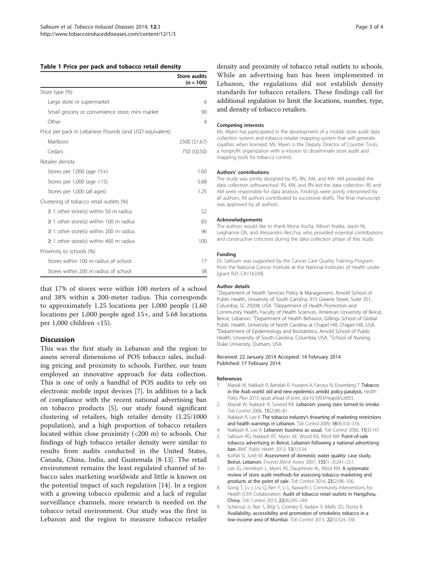<span id="page-2-0"></span>

|  |  |  |  |  |  | Table 1 Price per pack and tobacco retail density |  |  |
|--|--|--|--|--|--|---------------------------------------------------|--|--|
|--|--|--|--|--|--|---------------------------------------------------|--|--|

|                                                        | <b>Store audits</b><br>$(n = 100)$ |
|--------------------------------------------------------|------------------------------------|
| Store type (%)                                         |                                    |
| Large store or supermarket                             | 6                                  |
| Small grocery or convenience store, mini market        | 90                                 |
| Other                                                  | 4                                  |
| Price per pack in Lebanese Pounds (and USD equivalent) |                                    |
| Marlboro                                               | 2500 (\$1.67)                      |
| Cedars                                                 | 750 (\$0.50)                       |
| Retailer density                                       |                                    |
| Stores per 1,000 (age 15+)                             | 1.60                               |
| Stores per 1,000 (age $<$ 15)                          | 5.68                               |
| Stores per 1,000 (all ages)                            | 1.25                               |
| Clustering of tobacco retail outlets (%)               |                                    |
| $\geq$ 1 other store(s) within 50 m radius             | 52                                 |
| $\geq$ 1 other store(s) within 100 m radius            | 83                                 |
| $\geq$ 1 other store(s) within 200 m radius            | 96                                 |
| $\geq$ 1 other store(s) within 400 m radius            | 100                                |
| Proximity to schools (%)                               |                                    |
| Stores within 100 m radius of school                   | 17                                 |
| Stores within 200 m radius of school                   | 38                                 |

that 17% of stores were within 100 meters of a school and 38% within a 200-meter radius. This corresponds to approximately 1.25 locations per 1,000 people (1.60 locations per 1,000 people aged 15+, and 5.68 locations per 1,000 children <15).

## **Discussion**

This was the first study in Lebanon and the region to assess several dimensions of POS tobacco sales, including pricing and proximity to schools. Further, our team employed an innovative approach for data collection. This is one of only a handful of POS audits to rely on electronic mobile input devices [7]. In addition to a lack of compliance with the recent national advertising ban on tobacco products [5], our study found significant clustering of retailers, high retailer density (1.25/1000 population), and a high proportion of tobacco retailers located within close proximity (<200 m) to schools. Our findings of high tobacco retailer density were similar to results from audits conducted in the United States, Canada, China, India, and Guatemala [8[-13](#page-3-0)]. The retail environment remains the least regulated channel of tobacco sales marketing worldwide and little is known on the potential impact of such regulation [\[14](#page-3-0)]. In a region with a growing tobacco epidemic and a lack of regular surveillance channels, more research is needed on the tobacco retail environment. Our study was the first in Lebanon and the region to measure tobacco retailer density and proximity of tobacco retail outlets to schools. While an advertising ban has been implemented in Lebanon, the regulations did not establish density standards for tobacco retailers. These findings call for additional regulation to limit the locations, number, type, and density of tobacco retailers.

#### Competing interests

Ms. Myers has participated in the development of a mobile store audit data collection system and tobacco retailer mapping system that will generate royalties when licensed. Ms. Myers is the Deputy Director of Counter Tools, a nonprofit organization with a mission to disseminate store audit and mapping tools for tobacco control.

#### Authors' contributions

The study was jointly designed by RS, RN, AM, and KW. AM provided the data collection software/tool. RS, KW, and RN led the data collection. RS and AM were responsible for data analysis. Findings were jointly interpreted by all authors. All authors contributed to successive drafts. The final manuscript was approved by all authors.

#### Acknowledgements

The authors would like to thank Mona Ascha, Allison Kratka, Jason Ni, Leighanne Oh, and Alessandro Recchia, who provided essential contributions and constructive criticisms during the data collection phase of this study.

#### Funding

Dr. Salloum was supported by the Cancer Care Quality Training Program from the National Cancer Institute at the National Institutes of Health under [grant R25 CA116339].

#### Author details

<sup>1</sup>Department of Health Services Policy & Management, Arnold School of Public Health, University of South Carolina, 915 Greene Street, Suite 351, Columbia, SC 29208, USA. <sup>2</sup>Department of Health Promotion and Community Health, Faculty of Health Sciences, American University of Beirut, Beirut, Lebanon. <sup>3</sup> Department of Health Behavior, Gillings School of Global Public Health, University of North Carolina at Chapel Hill, Chapel Hill, USA. 4 Department of Epidemiology and Biostatistics, Arnold School of Public Health, University of South Carolina, Columbia, USA. <sup>5</sup>School of Nursing Duke University, Durham, USA.

#### Received: 22 January 2014 Accepted: 14 February 2014 Published: 17 February 2014

#### References

- 1. Maziak W, Nakkash R, Bahelah R, Husseini A, Fanous N, Eissenberg T: Tobacco in the Arab world: old and new epidemics amidst policy paralysis. Health Policy Plan 2013. epub ahead of print, doi:10.1093/heapol/czt055.
- 2. Maziak W, Nakkash R, Soweid RA: Lebanon: young stars turned to smoke. Tob Control 2006, 15(2):80–81.
- 3. Nakkash R, Lee K: The tobacco industry's thwarting of marketing restrictions and health warnings in Lebanon. Tob Control 2009, 18(4):310–316.
- 4. Nakkash R, Lee K: Lebanon: business as usual. Tob Control 2006, 15(3):147.
- 5. Salloum RG, Nakkash RT, Myers AE, Wood KA, Ribisl KM: Point-of-sale tobacco advertising in Beirut, Lebanon following a national advertising ban. BMC Public Health 2013, 13(1):534.
- 6. Korfali SI, Jurdi M: Assessment of domestic water quality: case study, Beirut, Lebanon. Environ Monit Assess 2007, 135(1–3):241–251.
- 7. Lee JG, Henriksen L, Myers AE, Dauphinee AL, Ribisl KM: A systematic review of store audit methods for assessing tobacco marketing and products at the point of sale. Tob Control 2014, 23(2):98-106.
- 8. Gong T, Lv J, Liu Q, Ren Y, Li L, Kawachi I, Community Interventions for Health (CIH) Collaboration: Audit of tobacco retail outlets in Hangzhou, China. Tob Control 2013, 22(4):245–249.
- 9. Schensul JJ, Nair S, Bilgi S, Cromley E, Kadam V, Mello SD, Donta B: Availability, accessibility and promotion of smokeless tobacco in a low-income area of Mumbai. Tob Control 2013, 22(5):324–330.